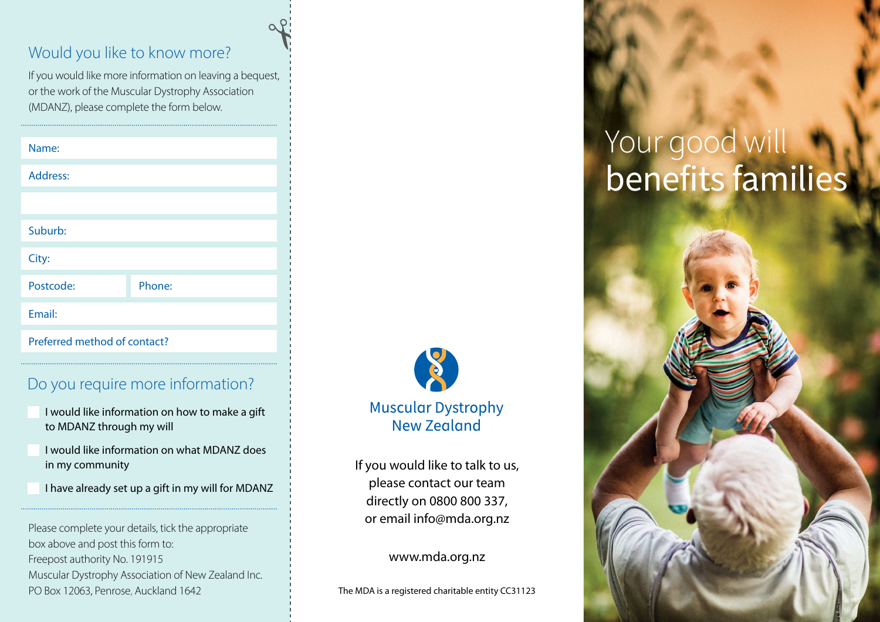#### Would you like to know more?

If you would like more information on leaving a bequest, or the work of the Muscular Dystrophy Association (MDANZ), please complete the form below.

| Name:                        |        |
|------------------------------|--------|
| Address:                     |        |
|                              |        |
| Suburb:                      |        |
| City:                        |        |
| Postcode:                    | Phone: |
| Email:                       |        |
| Preferred method of contact? |        |

#### Do you require more information?

- I would like information on how to make a gift to MDANZ through my will
- I would like information on what MDANZ does in my community
- I have already set up a gift in my will for MDANZ

Please complete your details, tick the appropriate box above and post this form to: Freepost authority No. 191915 Muscular Dystrophy Association of New Zealand Inc. PO Box 12063, Penrose, Auckland 1642



If you would like to talk to us, please contact our team directly on 0800 800 337, or email info@mda.org.nz

www.mda.org.nz

The MDA is a registered charitable entity CC31123

# Your good will benefits families